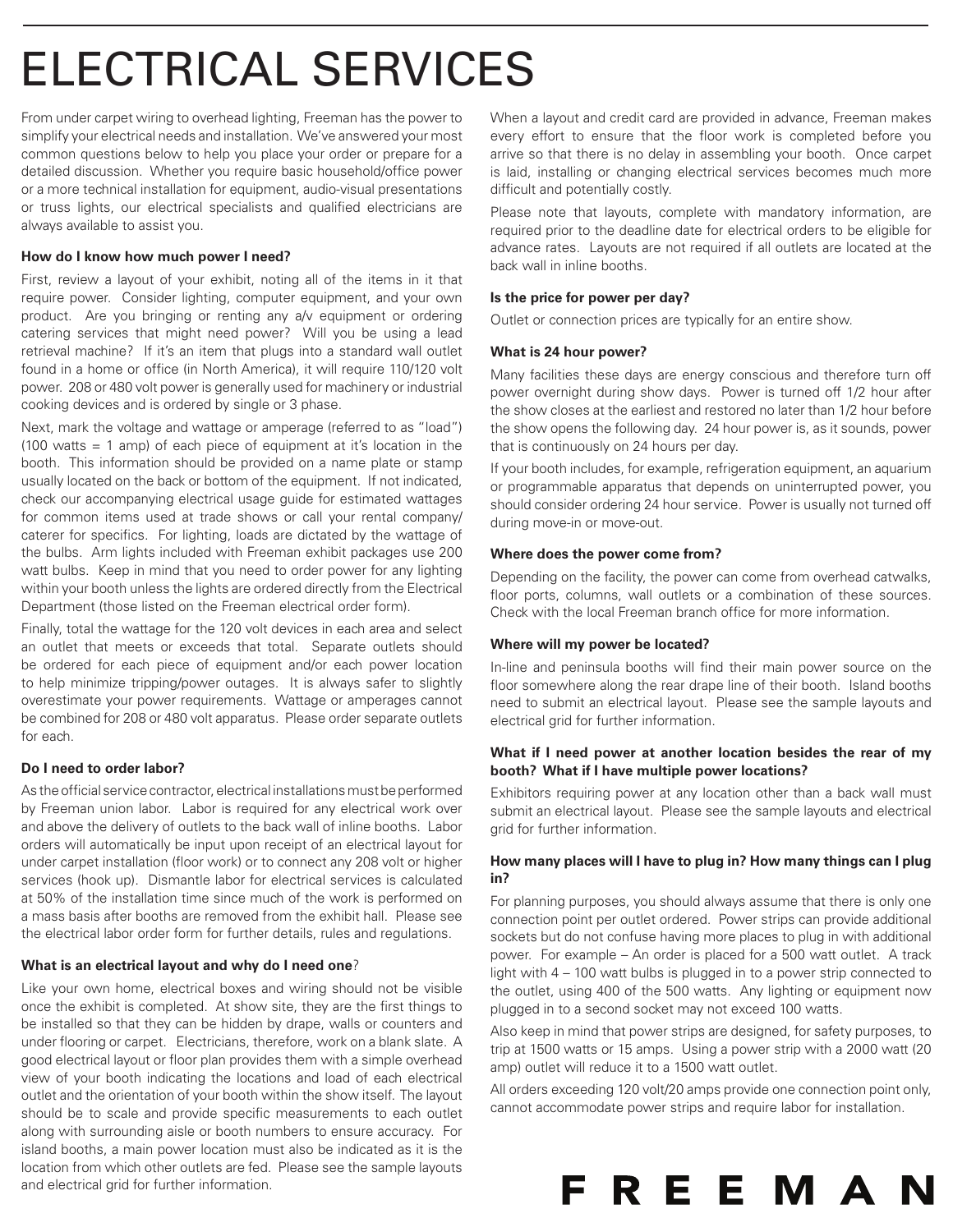# Electrical Services

From under carpet wiring to overhead lighting, Freeman has the power to simplify your electrical needs and installation. We've answered your most common questions below to help you place your order or prepare for a detailed discussion. Whether you require basic household/office power or a more technical installation for equipment, audio-visual presentations or truss lights, our electrical specialists and qualified electricians are always available to assist you.

## **How do I know how much power I need?**

First, review a layout of your exhibit, noting all of the items in it that require power. Consider lighting, computer equipment, and your own product. Are you bringing or renting any a/v equipment or ordering catering services that might need power? Will you be using a lead retrieval machine? If it's an item that plugs into a standard wall outlet found in a home or office (in North America), it will require 110/120 volt power. 208 or 480 volt power is generally used for machinery or industrial cooking devices and is ordered by single or 3 phase.

Next, mark the voltage and wattage or amperage (referred to as "load") (100 watts = 1 amp) of each piece of equipment at it's location in the booth. This information should be provided on a name plate or stamp usually located on the back or bottom of the equipment. If not indicated, check our accompanying electrical usage guide for estimated wattages for common items used at trade shows or call your rental company/ caterer for specifics. For lighting, loads are dictated by the wattage of the bulbs. Arm lights included with Freeman exhibit packages use 200 watt bulbs. Keep in mind that you need to order power for any lighting within your booth unless the lights are ordered directly from the Electrical Department (those listed on the Freeman electrical order form).

Finally, total the wattage for the 120 volt devices in each area and select an outlet that meets or exceeds that total. Separate outlets should be ordered for each piece of equipment and/or each power location to help minimize tripping/power outages. It is always safer to slightly overestimate your power requirements. Wattage or amperages cannot be combined for 208 or 480 volt apparatus. Please order separate outlets for each.

## **Do I need to order labor?**

As the official service contractor, electrical installations must be performed by Freeman union labor. Labor is required for any electrical work over and above the delivery of outlets to the back wall of inline booths. Labor orders will automatically be input upon receipt of an electrical layout for under carpet installation (floor work) or to connect any 208 volt or higher services (hook up). Dismantle labor for electrical services is calculated at 50% of the installation time since much of the work is performed on a mass basis after booths are removed from the exhibit hall. Please see the electrical labor order form for further details, rules and regulations.

## **What is an electrical layout and why do I need one**?

Like your own home, electrical boxes and wiring should not be visible once the exhibit is completed. At show site, they are the first things to be installed so that they can be hidden by drape, walls or counters and under flooring or carpet. Electricians, therefore, work on a blank slate. A good electrical layout or floor plan provides them with a simple overhead view of your booth indicating the locations and load of each electrical outlet and the orientation of your booth within the show itself. The layout should be to scale and provide specific measurements to each outlet along with surrounding aisle or booth numbers to ensure accuracy. For island booths, a main power location must also be indicated as it is the location from which other outlets are fed. Please see the sample layouts and electrical grid for further information.

When a layout and credit card are provided in advance, Freeman makes every effort to ensure that the floor work is completed before you arrive so that there is no delay in assembling your booth. Once carpet is laid, installing or changing electrical services becomes much more difficult and potentially costly.

Please note that layouts, complete with mandatory information, are required prior to the deadline date for electrical orders to be eligible for advance rates. Layouts are not required if all outlets are located at the back wall in inline booths.

## **Is the price for power per day?**

Outlet or connection prices are typically for an entire show.

## **What is 24 hour power?**

Many facilities these days are energy conscious and therefore turn off power overnight during show days. Power is turned off 1/2 hour after the show closes at the earliest and restored no later than 1/2 hour before the show opens the following day. 24 hour power is, as it sounds, power that is continuously on 24 hours per day.

If your booth includes, for example, refrigeration equipment, an aquarium or programmable apparatus that depends on uninterrupted power, you should consider ordering 24 hour service. Power is usually not turned off during move-in or move-out.

## **Where does the power come from?**

Depending on the facility, the power can come from overhead catwalks, floor ports, columns, wall outlets or a combination of these sources. Check with the local Freeman branch office for more information.

## **Where will my power be located?**

In-line and peninsula booths will find their main power source on the floor somewhere along the rear drape line of their booth. Island booths need to submit an electrical layout. Please see the sample layouts and electrical grid for further information.

## **What if I need power at another location besides the rear of my booth? What if I have multiple power locations?**

Exhibitors requiring power at any location other than a back wall must submit an electrical layout. Please see the sample layouts and electrical grid for further information.

## **How many places will I have to plug in? How many things can I plug in?**

For planning purposes, you should always assume that there is only one connection point per outlet ordered. Power strips can provide additional sockets but do not confuse having more places to plug in with additional power. For example – An order is placed for a 500 watt outlet. A track light with 4 – 100 watt bulbs is plugged in to a power strip connected to the outlet, using 400 of the 500 watts. Any lighting or equipment now plugged in to a second socket may not exceed 100 watts.

Also keep in mind that power strips are designed, for safety purposes, to trip at 1500 watts or 15 amps. Using a power strip with a 2000 watt (20 amp) outlet will reduce it to a 1500 watt outlet.

All orders exceeding 120 volt/20 amps provide one connection point only, cannot accommodate power strips and require labor for installation.

FREEMAN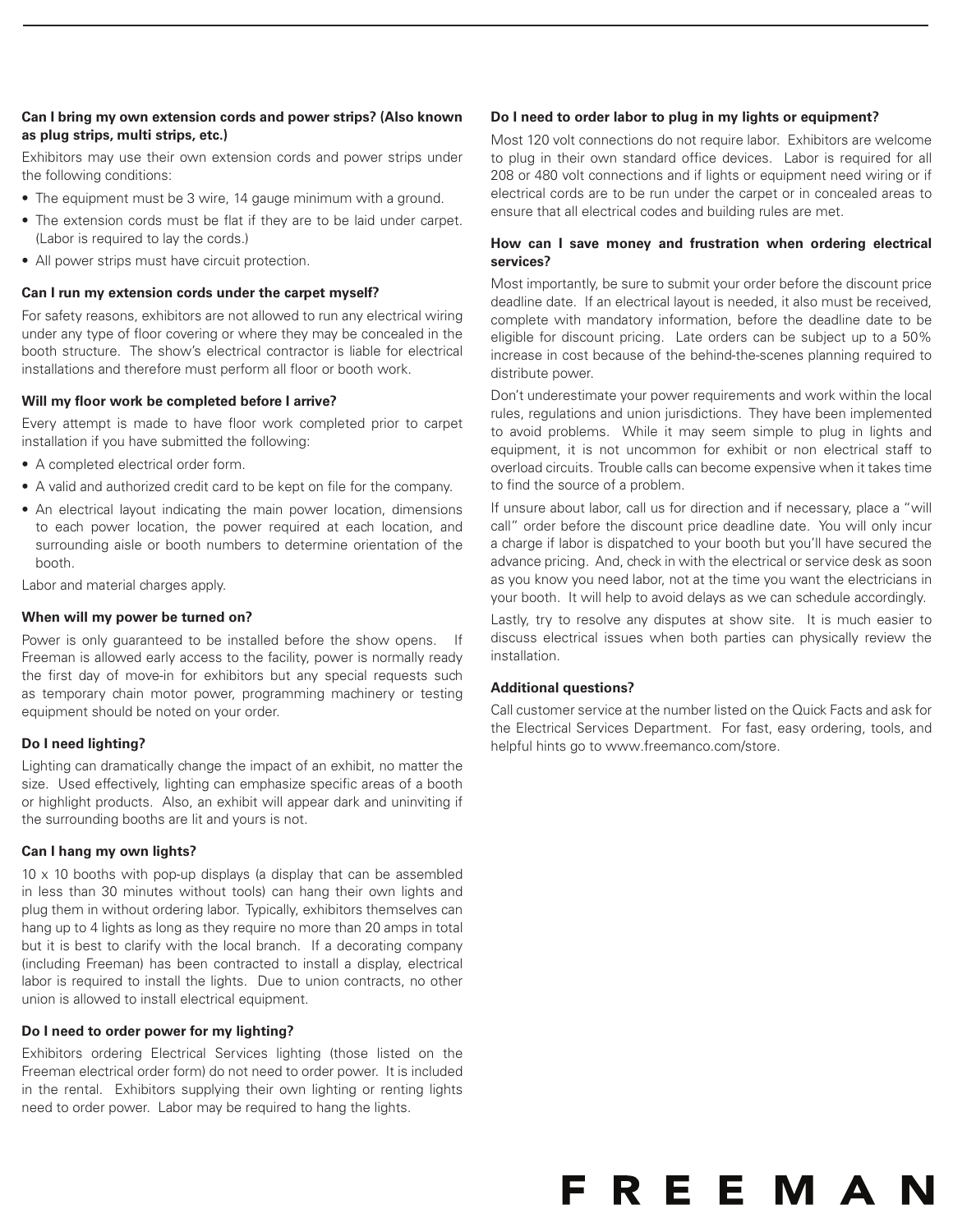## **Can I bring my own extension cords and power strips? (Also known as plug strips, multi strips, etc.)**

Exhibitors may use their own extension cords and power strips under the following conditions:

- The equipment must be 3 wire, 14 gauge minimum with a ground.
- The extension cords must be flat if they are to be laid under carpet. (Labor is required to lay the cords.)
- All power strips must have circuit protection.

## **Can I run my extension cords under the carpet myself?**

For safety reasons, exhibitors are not allowed to run any electrical wiring under any type of floor covering or where they may be concealed in the booth structure. The show's electrical contractor is liable for electrical installations and therefore must perform all floor or booth work.

## **Will my floor work be completed before I arrive?**

Every attempt is made to have floor work completed prior to carpet installation if you have submitted the following:

- A completed electrical order form.
- A valid and authorized credit card to be kept on file for the company.
- An electrical layout indicating the main power location, dimensions to each power location, the power required at each location, and surrounding aisle or booth numbers to determine orientation of the booth.

Labor and material charges apply.

## **When will my power be turned on?**

Power is only guaranteed to be installed before the show opens. If Freeman is allowed early access to the facility, power is normally ready the first day of move-in for exhibitors but any special requests such as temporary chain motor power, programming machinery or testing equipment should be noted on your order.

## **Do I need lighting?**

Lighting can dramatically change the impact of an exhibit, no matter the size. Used effectively, lighting can emphasize specific areas of a booth or highlight products. Also, an exhibit will appear dark and uninviting if the surrounding booths are lit and yours is not.

## **Can I hang my own lights?**

 $10 \times 10$  booths with pop-up displays (a display that can be assembled in less than 30 minutes without tools) can hang their own lights and plug them in without ordering labor. Typically, exhibitors themselves can hang up to 4 lights as long as they require no more than 20 amps in total but it is best to clarify with the local branch. If a decorating company (including Freeman) has been contracted to install a display, electrical labor is required to install the lights. Due to union contracts, no other union is allowed to install electrical equipment.

## **Do I need to order power for my lighting?**

Exhibitors ordering Electrical Services lighting (those listed on the Freeman electrical order form) do not need to order power. It is included in the rental. Exhibitors supplying their own lighting or renting lights need to order power. Labor may be required to hang the lights.

## **Do I need to order labor to plug in my lights or equipment?**

Most 120 volt connections do not require labor. Exhibitors are welcome to plug in their own standard office devices. Labor is required for all 208 or 480 volt connections and if lights or equipment need wiring or if electrical cords are to be run under the carpet or in concealed areas to ensure that all electrical codes and building rules are met.

## **How can I save money and frustration when ordering electrical services?**

Most importantly, be sure to submit your order before the discount price deadline date. If an electrical layout is needed, it also must be received, complete with mandatory information, before the deadline date to be eligible for discount pricing. Late orders can be subject up to a 50% increase in cost because of the behind-the-scenes planning required to distribute power.

Don't underestimate your power requirements and work within the local rules, regulations and union jurisdictions. They have been implemented to avoid problems. While it may seem simple to plug in lights and equipment, it is not uncommon for exhibit or non electrical staff to overload circuits. Trouble calls can become expensive when it takes time to find the source of a problem.

If unsure about labor, call us for direction and if necessary, place a "will call" order before the discount price deadline date. You will only incur a charge if labor is dispatched to your booth but you'll have secured the advance pricing. And, check in with the electrical or service desk as soon as you know you need labor, not at the time you want the electricians in your booth. It will help to avoid delays as we can schedule accordingly.

Lastly, try to resolve any disputes at show site. It is much easier to discuss electrical issues when both parties can physically review the installation.

## **Additional questions?**

Call customer service at the number listed on the Quick Facts and ask for the Electrical Services Department. For fast, easy ordering, tools, and helpful hints go to www.freemanco.com/store.

# **FREEMAN**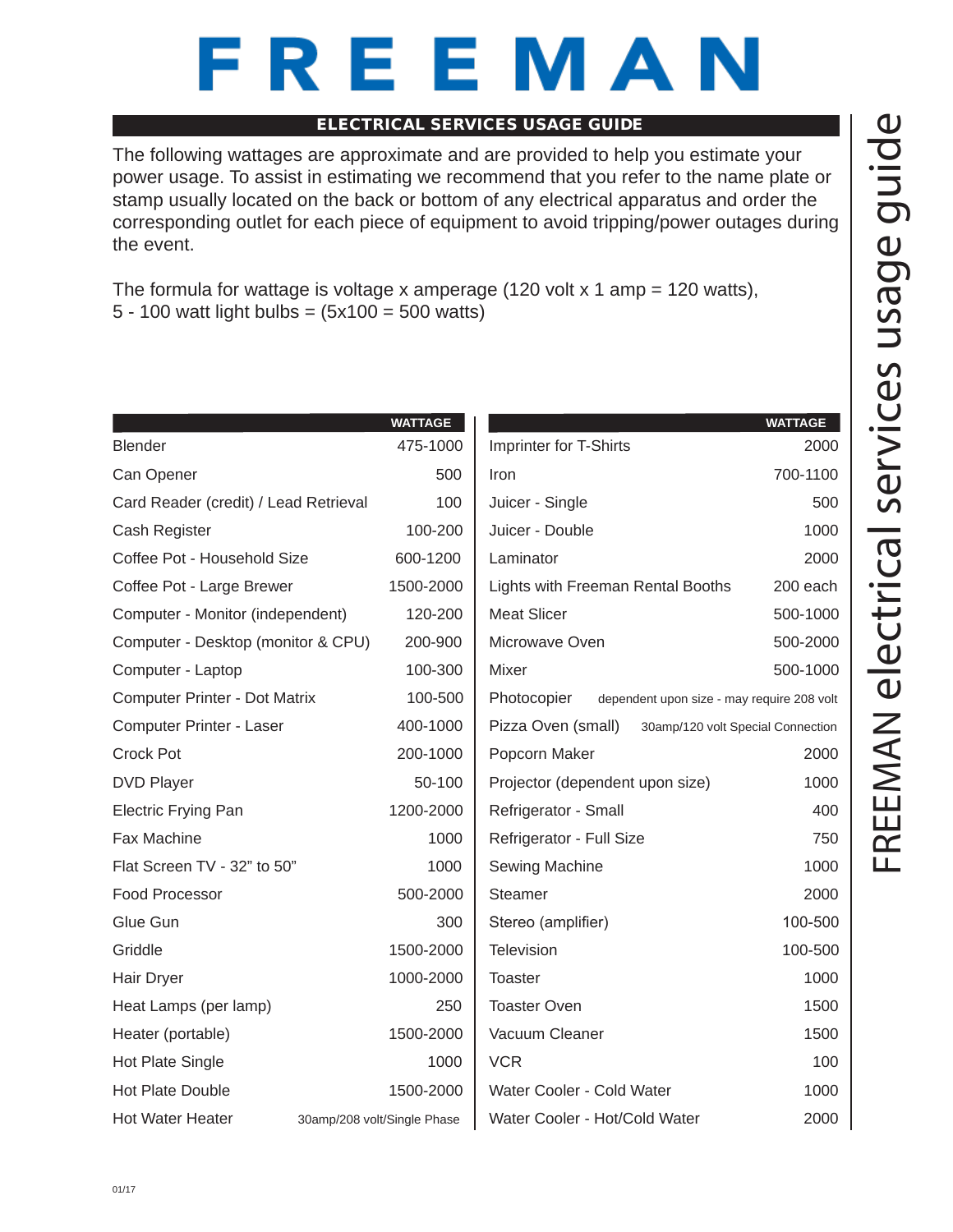# REEMAN

## ELECTRICAL SERVICES USAGE GUIDE

The following wattages are approximate and are provided to help you estimate your power usage. To assist in estimating we recommend that you refer to the name plate or stamp usually located on the back or bottom of any electrical apparatus and order the corresponding outlet for each piece of equipment to avoid tripping/power outages during the event.

The formula for wattage is voltage x amperage (120 volt x 1 amp = 120 watts), 5 - 100 watt light bulbs = (5x100 = 500 watts)

|                                       | <b>WATTAGE</b>              |                                   | <b>WATTAGE</b>                             |
|---------------------------------------|-----------------------------|-----------------------------------|--------------------------------------------|
| <b>Blender</b>                        | 475-1000                    | Imprinter for T-Shirts            | 2000                                       |
| Can Opener                            | 500                         | Iron                              | 700-1100                                   |
| Card Reader (credit) / Lead Retrieval | 100                         | Juicer - Single                   | 500                                        |
| Cash Register                         | 100-200                     | Juicer - Double                   | 1000                                       |
| Coffee Pot - Household Size           | 600-1200                    | Laminator                         | 2000                                       |
| Coffee Pot - Large Brewer             | 1500-2000                   | Lights with Freeman Rental Booths | 200 each                                   |
| Computer - Monitor (independent)      | 120-200                     | <b>Meat Slicer</b>                | 500-1000                                   |
| Computer - Desktop (monitor & CPU)    | 200-900                     | Microwave Oven                    | 500-2000                                   |
| Computer - Laptop                     | 100-300                     | Mixer                             | 500-1000                                   |
| Computer Printer - Dot Matrix         | 100-500                     | Photocopier                       | dependent upon size - may require 208 volt |
| Computer Printer - Laser              | 400-1000                    | Pizza Oven (small)                | 30amp/120 volt Special Connection          |
| <b>Crock Pot</b>                      | 200-1000                    | Popcorn Maker                     | 2000                                       |
| <b>DVD Player</b>                     | 50-100                      | Projector (dependent upon size)   | 1000                                       |
| <b>Electric Frying Pan</b>            | 1200-2000                   | Refrigerator - Small              | 400                                        |
| Fax Machine                           | 1000                        | Refrigerator - Full Size          | 750                                        |
| Flat Screen TV - 32" to 50"           | 1000                        | Sewing Machine                    | 1000                                       |
| Food Processor                        | 500-2000                    | Steamer                           | 2000                                       |
| Glue Gun                              | 300                         | Stereo (amplifier)                | 100-500                                    |
| Griddle                               | 1500-2000                   | Television                        | 100-500                                    |
| Hair Dryer                            | 1000-2000                   | <b>Toaster</b>                    | 1000                                       |
| Heat Lamps (per lamp)                 | 250                         | <b>Toaster Oven</b>               | 1500                                       |
| Heater (portable)                     | 1500-2000                   | Vacuum Cleaner                    | 1500                                       |
| Hot Plate Single                      | 1000                        | <b>VCR</b>                        | 100                                        |
| Hot Plate Double                      | 1500-2000                   | Water Cooler - Cold Water         | 1000                                       |
| <b>Hot Water Heater</b>               | 30amp/208 volt/Single Phase | Water Cooler - Hot/Cold Water     | 2000                                       |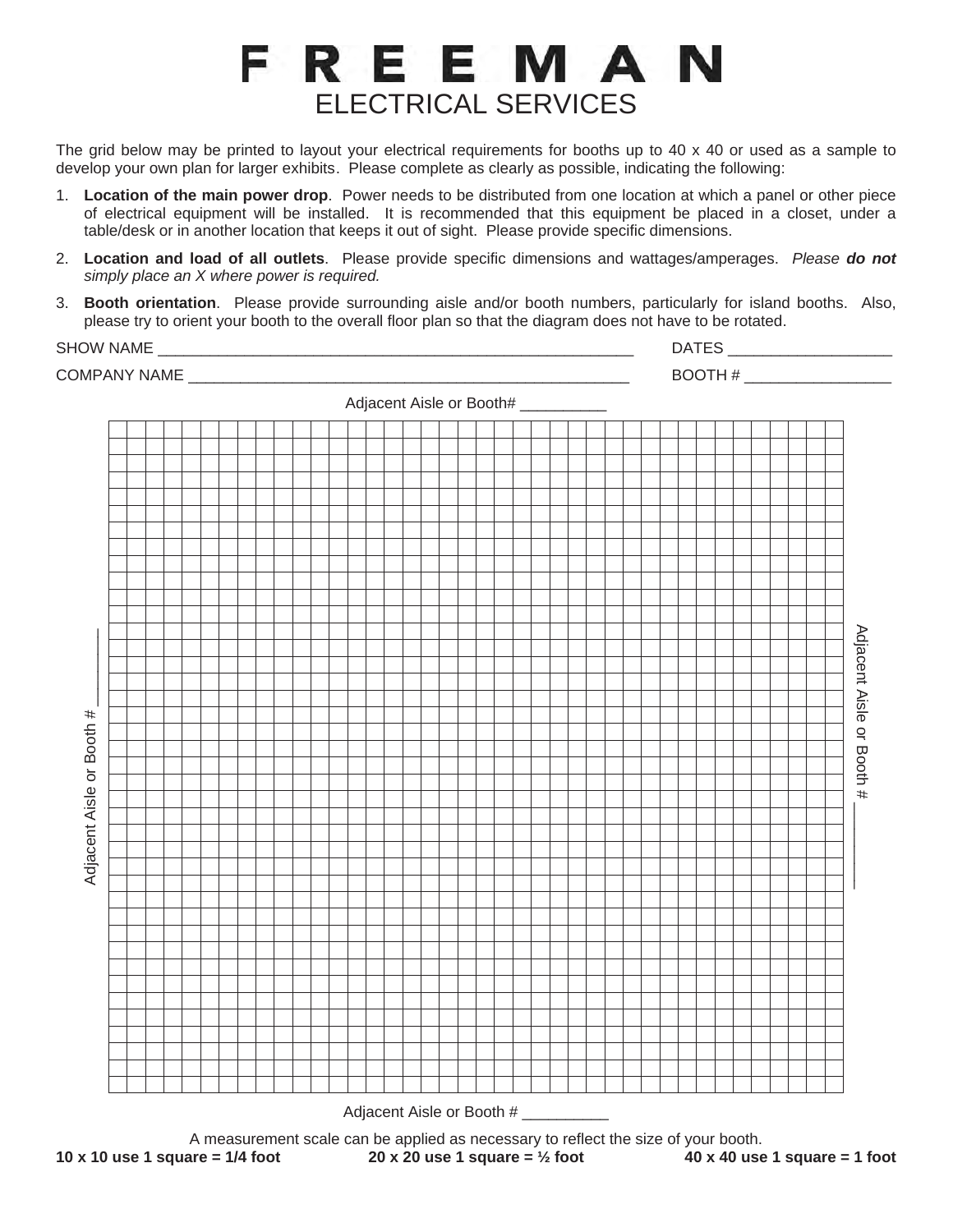# FREEMAN ELECTRICAL SERVICES

The grid below may be printed to layout your electrical requirements for booths up to 40 x 40 or used as a sample to develop your own plan for larger exhibits. Please complete as clearly as possible, indicating the following:

- 1. **Location of the main power drop**. Power needs to be distributed from one location at which a panel or other piece of electrical equipment will be installed. It is recommended that this equipment be placed in a closet, under a table/desk or in another location that keeps it out of sight. Please provide specific dimensions.
- 2. **Location and load of all outlets**. Please provide specific dimensions and wattages/amperages. *Please do not simply place an X where power is required.*
- 3. **Booth orientation**. Please provide surrounding aisle and/or booth numbers, particularly for island booths. Also, please try to orient your booth to the overall floor plan so that the diagram does not have to be rotated.

SHOW NAME \_\_\_\_\_\_\_\_\_\_\_\_\_\_\_\_\_\_\_\_\_\_\_\_\_\_\_\_\_\_\_\_\_\_\_\_\_\_\_\_\_\_\_\_\_\_\_\_\_\_\_\_\_\_\_ DATES \_\_\_\_\_\_\_\_\_\_\_\_\_\_\_\_\_\_\_

COMPANY NAME \_\_\_\_\_\_\_\_\_\_\_\_\_\_\_\_\_\_\_\_\_\_\_\_\_\_\_\_\_\_\_\_\_\_\_\_\_\_\_\_\_\_\_\_\_\_\_\_\_\_\_ BOOTH # \_\_\_\_\_\_\_\_\_\_\_\_\_\_\_\_\_ Adjacent Aisle or Booth# Adjacent Aisle or Booth # \_\_\_\_\_\_\_\_\_ Adjacent Aisle or Booth Adjacent Aisle or Booth # # Adjacent Aisle or Booth  $#$ Adjacent Aisle or Booth # A measurement scale can be applied as necessary to reflect the size of your booth.<br>A measure ment scale can be applied as necessary to reflect the size of your booth.<br>40 x 40 use 1 square =  $\frac{1}{2}$  foot 40 x 40 use **10 x 10 use 1 square = 1/4 foot 20 x 20 use 1 square = ½ foot 40 x 40 use 1 square = 1 foot**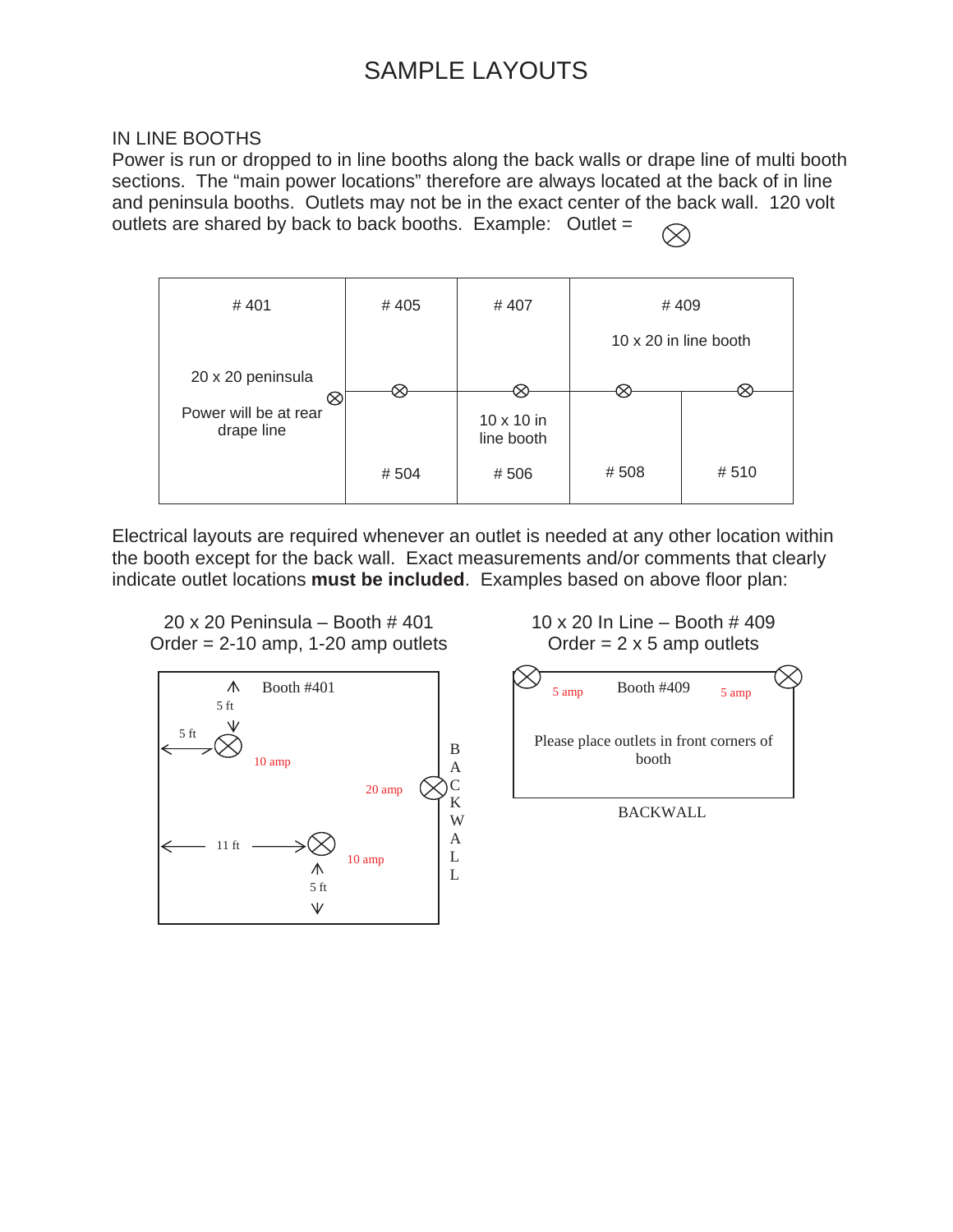## SAMPLE LAYOUTS

## IN LINE BOOTHS

Power is run or dropped to in line booths along the back walls or drape line of multi booth sections. The "main power locations" therefore are always located at the back of in line and peninsula booths. Outlets may not be in the exact center of the back wall. 120 volt outlets are shared by back to back booths. Example: Outlet =



Electrical layouts are required whenever an outlet is needed at any other location within the booth except for the back wall. Exact measurements and/or comments that clearly indicate outlet locations **must be included**. Examples based on above floor plan:





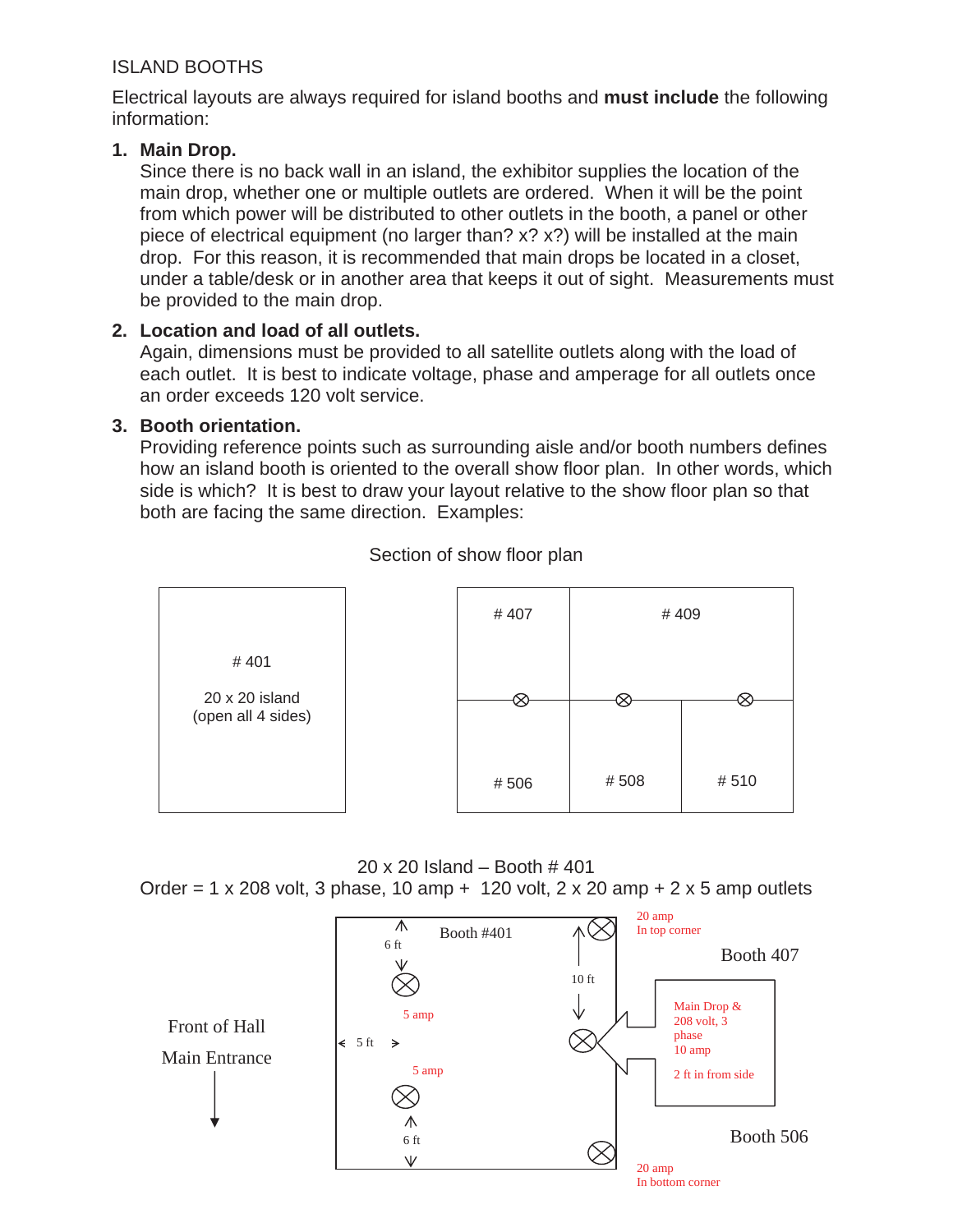## ISLAND BOOTHS

Electrical layouts are always required for island booths and **must include** the following information:

## **1. Main Drop.**

Since there is no back wall in an island, the exhibitor supplies the location of the main drop, whether one or multiple outlets are ordered. When it will be the point from which power will be distributed to other outlets in the booth, a panel or other piece of electrical equipment (no larger than? x? x?) will be installed at the main drop. For this reason, it is recommended that main drops be located in a closet, under a table/desk or in another area that keeps it out of sight. Measurements must be provided to the main drop.

## **2. Location and load of all outlets.**

Again, dimensions must be provided to all satellite outlets along with the load of each outlet. It is best to indicate voltage, phase and amperage for all outlets once an order exceeds 120 volt service.

## **3. Booth orientation.**

Providing reference points such as surrounding aisle and/or booth numbers defines how an island booth is oriented to the overall show floor plan. In other words, which side is which? It is best to draw your layout relative to the show floor plan so that both are facing the same direction. Examples:



Section of show floor plan

## 20 x 20 Island – Booth # 401

Order = 1 x 208 volt, 3 phase, 10 amp  $+$  120 volt, 2 x 20 amp  $+$  2 x 5 amp outlets

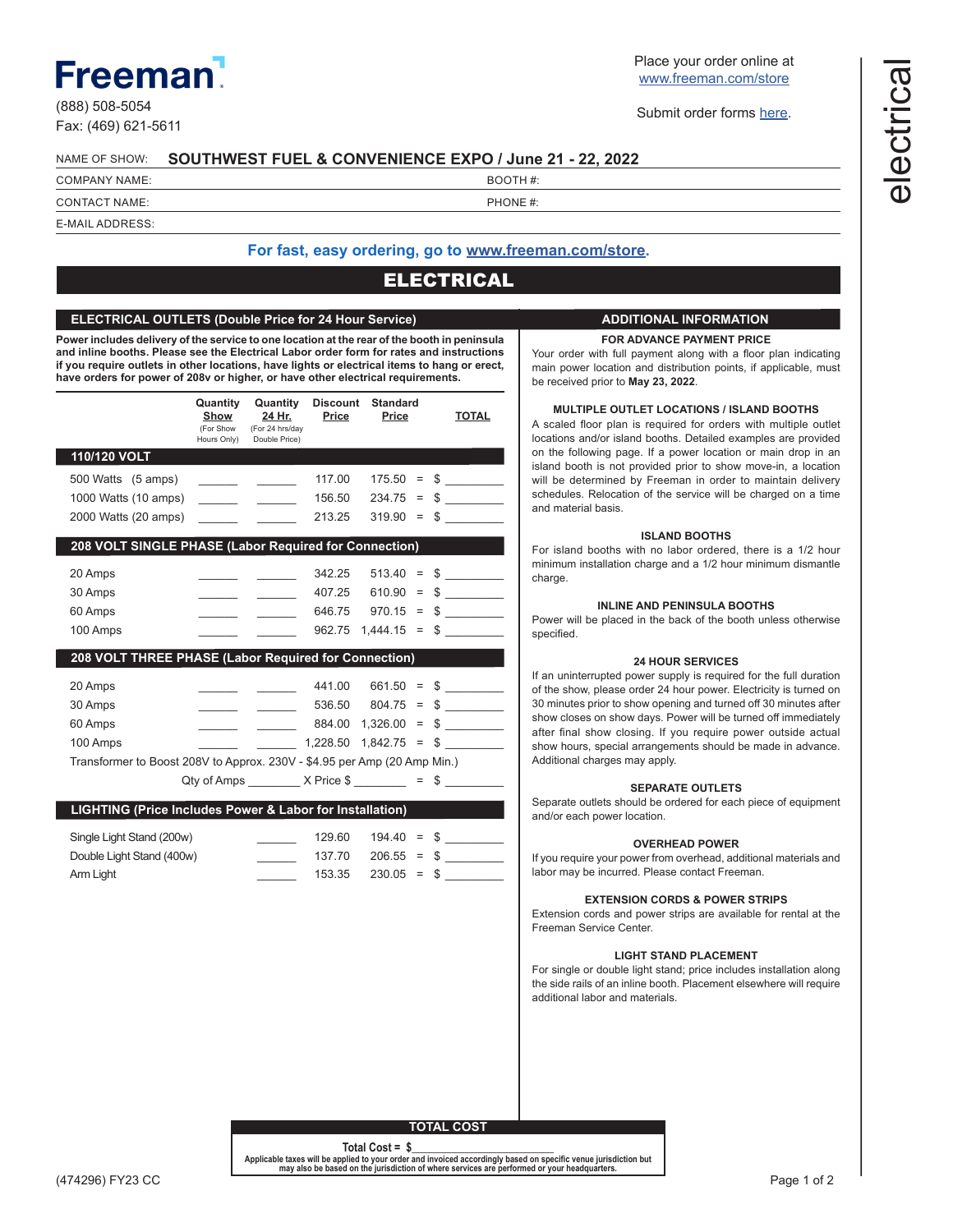## **Freemar**

(888) 508-5054 Fax: (469) 621-5611 Place your order online at [www.freeman.com/store](https://www.freemanco.com/store?utm_source=Forms&utm_medium=PDF)

Submit order forms [here](mailto:ExhibitorSupport%40freeman.com?subject=Order%20Form%20Submission).

#### NAME OF SHOW: **SOUTHWEST FUEL & CONVENIENCE EXPO / June 21 - 22, 2022**

COMPANY NAME: SALE IN THE SERVICE OF THE SERVICE IN THE BOOTH  $\#$ :

CONTACT NAME:  $\qquad \qquad \qquad$  PHONE #: E-MAIL ADDRESS:

## **For fast, easy ordering, go to [www.freeman.com/store.](https://www.freemanco.com/store?utm_source=Forms&utm_medium=PDF)**

## ELECTRICAL

## **ELECTRICAL OUTLETS (Double Price for 24 Hour Service)**

**Power includes delivery of the service to one location at the rear of the booth in peninsula and inline booths. Please see the Electrical Labor order form for rates and instructions if you require outlets in other locations, have lights or electrical items to hang or erect, have orders for power of 208v or higher, or have other electrical requirements.**

|                                                                          | Quantity<br>Show<br>(For Show<br>Hours Only) | Quantity<br>24 Hr.<br>(For 24 hrs/day<br>Double Price)    | <b>Discount</b><br>Price | <b>Standard</b><br>Price |          | <b>TOTAL</b>                   |
|--------------------------------------------------------------------------|----------------------------------------------|-----------------------------------------------------------|--------------------------|--------------------------|----------|--------------------------------|
| 110/120 VOLT                                                             |                                              |                                                           |                          |                          |          |                                |
| 500 Watts (5 amps)                                                       |                                              | <b>Contract Contract</b>                                  | 117.00                   | 175.50                   | $=$      | \$<br><b>Contract Contract</b> |
| 1000 Watts (10 amps)                                                     | <u> 1999 - Jan Jan Jawa</u>                  | $\sim$ 100 $\mu$                                          | 156.50                   | 234.75                   | $=$      | $\frac{1}{2}$                  |
| 2000 Watts (20 amps)                                                     |                                              |                                                           | 213.25                   | 319.90                   | $=$      | $\frac{1}{2}$                  |
| 208 VOLT SINGLE PHASE (Labor Required for Connection)                    |                                              |                                                           |                          |                          |          |                                |
| 20 Amps                                                                  |                                              |                                                           | 342.25                   | 513.40                   | $\equiv$ | $\frac{1}{2}$                  |
| 30 Amps                                                                  |                                              |                                                           | 407.25                   | 610.90                   | $=$      | $\frac{1}{2}$                  |
| 60 Amps                                                                  |                                              |                                                           | 646.75                   | 970.15                   | $=$      | $\frac{1}{2}$                  |
| 100 Amps                                                                 |                                              |                                                           | 962.75                   | 1,444.15                 | $=$      | $\frac{1}{2}$                  |
| 208 VOLT THREE PHASE (Labor Required for Connection)                     |                                              |                                                           |                          |                          |          |                                |
| 20 Amps                                                                  |                                              |                                                           | 441.00                   | $661.50 =$               |          | $\frac{1}{2}$                  |
| 30 Amps                                                                  |                                              |                                                           |                          | $536.50$ $804.75 =$      |          | $\frac{1}{2}$                  |
| 60 Amps                                                                  |                                              | $\mathcal{L}_{\text{max}}$ and $\mathcal{L}_{\text{max}}$ |                          | 884.00 1,326.00          | $=$ $\,$ | $\frac{1}{2}$                  |
| 100 Amps                                                                 |                                              |                                                           | 1,228.50 1,842.75        |                          | $=$ $\,$ | $\sim$                         |
| Transformer to Boost 208V to Approx. 230V - \$4.95 per Amp (20 Amp Min.) |                                              |                                                           |                          |                          |          |                                |
|                                                                          |                                              | Qty of Amps _________ X Price $\frac{1}{2}$ = \$ _______  |                          |                          |          |                                |
| LIGHTING (Price Includes Power & Labor for Installation)                 |                                              |                                                           |                          |                          |          |                                |
| Single Light Stand (200w)                                                |                                              |                                                           | 129.60                   | 194.40                   | $=$      | $\frac{1}{2}$                  |
| Double Light Stand (400w)                                                |                                              |                                                           | 137.70                   | 206.55                   | $=$      | $\frac{1}{2}$                  |
| Arm Light                                                                |                                              |                                                           | 153.35                   | 230.05                   | $\equiv$ | \$                             |
|                                                                          |                                              |                                                           |                          |                          |          |                                |

#### **ADDITIONAL INFORMATION**

#### **FOR ADVANCE PAYMENT PRICE**

Your order with full payment along with a floor plan indicating main power location and distribution points, if applicable, must be received prior to **May 23, 2022**.

#### **MULTIPLE OUTLET LOCATIONS / ISLAND BOOTHS**

A scaled floor plan is required for orders with multiple outlet locations and/or island booths. Detailed examples are provided on the following page. If a power location or main drop in an island booth is not provided prior to show move-in, a location will be determined by Freeman in order to maintain delivery schedules. Relocation of the service will be charged on a time and material basis.

#### **ISLAND BOOTHS**

For island booths with no labor ordered, there is a 1/2 hour minimum installation charge and a 1/2 hour minimum dismantle charge.

## **INLINE AND PENINSULA BOOTHS**

Power will be placed in the back of the booth unless otherwise specified.

#### **24 HOUR SERVICES**

If an uninterrupted power supply is required for the full duration of the show, please order 24 hour power. Electricity is turned on 30 minutes prior to show opening and turned off 30 minutes after show closes on show days. Power will be turned off immediately after final show closing. If you require power outside actual show hours, special arrangements should be made in advance. Additional charges may apply.

#### **SEPARATE OUTLETS**

Separate outlets should be ordered for each piece of equipment and/or each power location.

#### **OVERHEAD POWER**

If you require your power from overhead, additional materials and labor may be incurred. Please contact Freeman.

#### **EXTENSION CORDS & POWER STRIPS**

Extension cords and power strips are available for rental at the Freeman Service Center.

#### **LIGHT STAND PLACEMENT**

For single or double light stand; price includes installation along the side rails of an inline booth. Placement elsewhere will require additional labor and materials.

**TOTAL COST**

**Total Cost** *=* **\$\_***\_\_\_\_\_\_\_\_\_\_\_\_\_\_\_\_\_\_\_\_\_\_\_\_*

**Applicable taxes will be applied to your order and invoiced accordingly based on specific venue jurisdiction but may also be based on the jurisdiction of where services are performed or your headquarters.**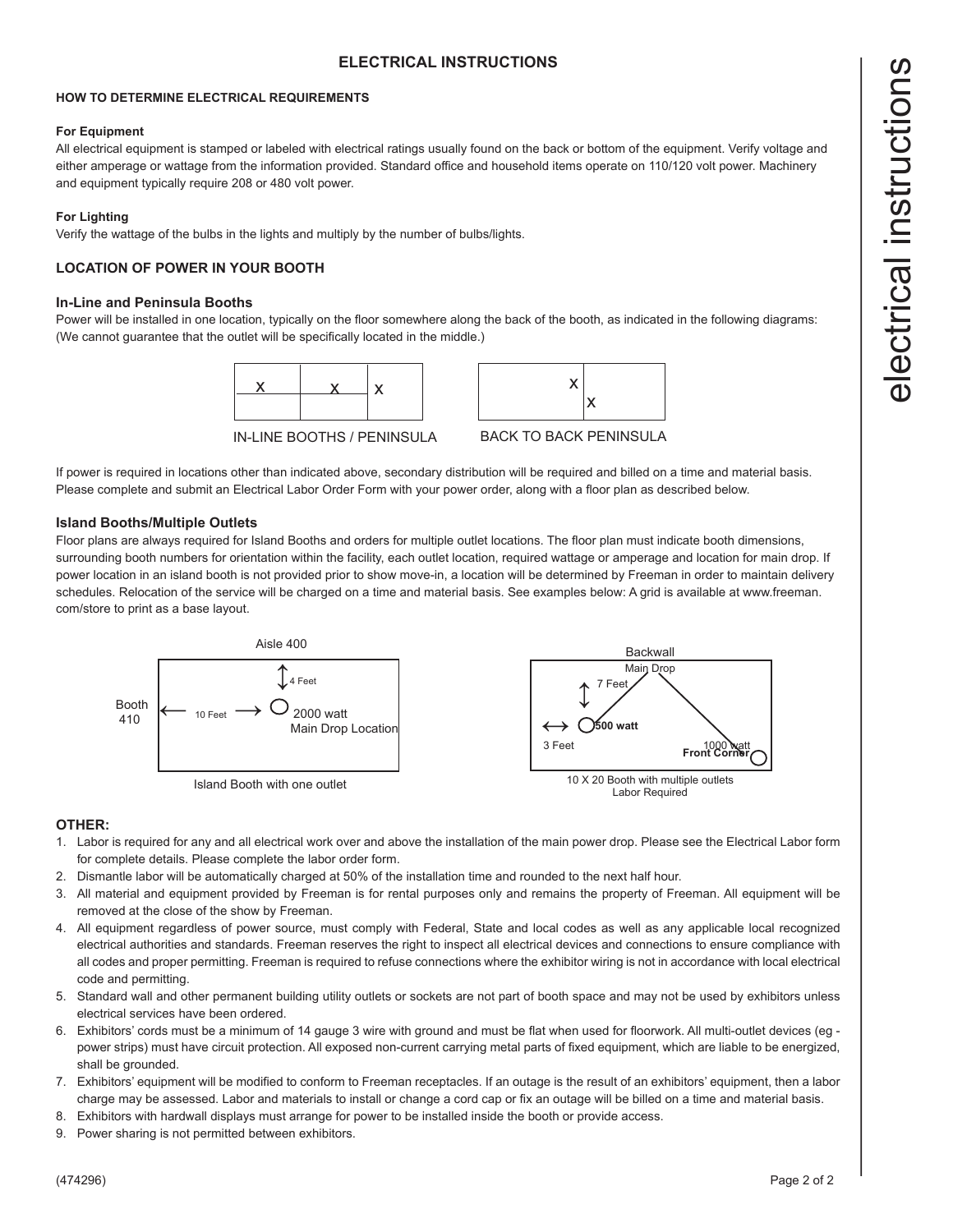## **ELECTRICAL INSTRUCTIONS**

## **HOW TO DETERMINE ELECTRICAL REQUIREMENTS**

#### **For Equipment**

All electrical equipment is stamped or labeled with electrical ratings usually found on the back or bottom of the equipment. Verify voltage and either amperage or wattage from the information provided. Standard office and household items operate on 110/120 volt power. Machinery and equipment typically require 208 or 480 volt power.

## **For Lighting**

Verify the wattage of the bulbs in the lights and multiply by the number of bulbs/lights.

## **LOCATION OF POWER IN YOUR BOOTH**

## **In-Line and Peninsula Booths**

Power will be installed in one location, typically on the floor somewhere along the back of the booth, as indicated in the following diagrams: (We cannot guarantee that the outlet will be specifically located in the middle.)



IN-LINE BOOTHS / PENINSULA



BACK TO BACK PENINSULA

If power is required in locations other than indicated above, secondary distribution will be required and billed on a time and material basis. Please complete and submit an Electrical Labor Order Form with your power order, along with a floor plan as described below.

## **Island Booths/Multiple Outlets**

Floor plans are always required for Island Booths and orders for multiple outlet locations. The floor plan must indicate booth dimensions, surrounding booth numbers for orientation within the facility, each outlet location, required wattage or amperage and location for main drop. If power location in an island booth is not provided prior to show move-in, a location will be determined by Freeman in order to maintain delivery schedules. Relocation of the service will be charged on a time and material basis. See examples below: A grid is available at www.freeman. com/store to print as a base layout.



## **OTHER:**

- 1. Labor is required for any and all electrical work over and above the installation of the main power drop. Please see the Electrical Labor form for complete details. Please complete the labor order form.
- 2. Dismantle labor will be automatically charged at 50% of the installation time and rounded to the next half hour.
- 3. All material and equipment provided by Freeman is for rental purposes only and remains the property of Freeman. All equipment will be removed at the close of the show by Freeman.
- 4. All equipment regardless of power source, must comply with Federal, State and local codes as well as any applicable local recognized electrical authorities and standards. Freeman reserves the right to inspect all electrical devices and connections to ensure compliance with all codes and proper permitting. Freeman is required to refuse connections where the exhibitor wiring is not in accordance with local electrical code and permitting.
- 5. Standard wall and other permanent building utility outlets or sockets are not part of booth space and may not be used by exhibitors unless electrical services have been ordered.
- 6. Exhibitors' cords must be a minimum of 14 gauge 3 wire with ground and must be flat when used for floorwork. All multi-outlet devices (eg power strips) must have circuit protection. All exposed non-current carrying metal parts of fixed equipment, which are liable to be energized, shall be grounded.
- 7. Exhibitors' equipment will be modified to conform to Freeman receptacles. If an outage is the result of an exhibitors' equipment, then a labor charge may be assessed. Labor and materials to install or change a cord cap or fix an outage will be billed on a time and material basis.
- 8. Exhibitors with hardwall displays must arrange for power to be installed inside the booth or provide access.
- 9. Power sharing is not permitted between exhibitors.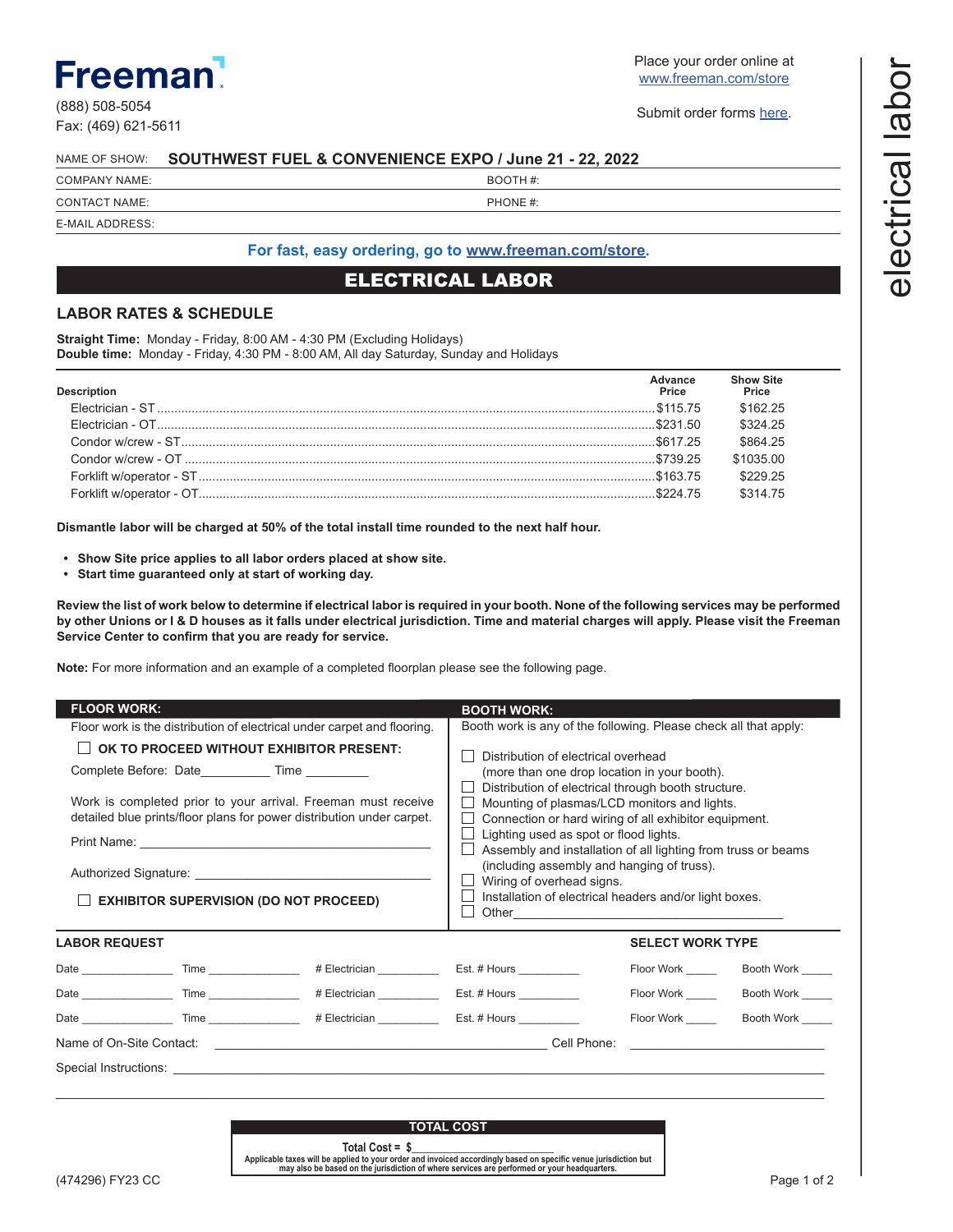# **Freeman**

(888) 508-5054 Fax: (469) 621-5611 Place your order online at [www.freeman.com/store](https://www.freemanco.com/store?utm_source=Forms&utm_medium=PDF)

Submit order forms [here](mailto:ExhibitorSupport%40freeman.com?subject=Order%20Form%20Submission).

#### NAME OF SHOW: **SOUTHWEST FUEL & CONVENIENCE EXPO / June 21 - 22, 2022**

| <b>COMPANY NAME:</b> | BOOTH#:  |
|----------------------|----------|
| <b>CONTACT NAME:</b> | PHONE #: |

E-MAIL ADDRESS:

## **For fast, easy ordering, go to [www.freeman.com/store.](https://www.freemanco.com/store?utm_source=Forms&utm_medium=PDF)**

## ELECTRICAL LABOR

## **LABOR RATES & SCHEDULE**

**Straight Time:** Monday - Friday, 8:00 AM - 4:30 PM (Excluding Holidays) **Double time:** Monday - Friday, 4:30 PM - 8:00 AM, All day Saturday, Sunday and Holidays

| <b>Description</b> | Advance<br>Price | <b>Show Site</b><br>Price |
|--------------------|------------------|---------------------------|
|                    |                  | \$162 25                  |
|                    |                  | \$324 25                  |
|                    |                  | \$864 25                  |
|                    |                  | \$103500                  |
|                    |                  | \$229.25                  |
|                    |                  | \$314 75                  |

**Dismantle labor will be charged at 50% of the total install time rounded to the next half hour.**

- **• Show Site price applies to all labor orders placed at show site.**
- **• Start time guaranteed only at start of working day.**

**Review the list of work below to determine if electrical labor is required in your booth. None of the following services may be performed by other Unions or I & D houses as it falls under electrical jurisdiction. Time and material charges will apply. Please visit the Freeman Service Center to confirm that you are ready for service.**

**Note:** For more information and an example of a completed floorplan please see the following page.

| <b>FLOOR WORK:</b>                                                                                                                     |  |                                                                                                                                                                                                                                                                                                                                                       | <b>BOOTH WORK:</b>                                               |                         |                                                                                           |
|----------------------------------------------------------------------------------------------------------------------------------------|--|-------------------------------------------------------------------------------------------------------------------------------------------------------------------------------------------------------------------------------------------------------------------------------------------------------------------------------------------------------|------------------------------------------------------------------|-------------------------|-------------------------------------------------------------------------------------------|
|                                                                                                                                        |  | Floor work is the distribution of electrical under carpet and flooring.                                                                                                                                                                                                                                                                               | Booth work is any of the following. Please check all that apply: |                         |                                                                                           |
| OK TO PROCEED WITHOUT EXHIBITOR PRESENT:<br>Complete Before: Date Time                                                                 |  | Distribution of electrical overhead<br>(more than one drop location in your booth).<br>Distribution of electrical through booth structure.                                                                                                                                                                                                            |                                                                  |                         |                                                                                           |
| Work is completed prior to your arrival. Freeman must receive<br>detailed blue prints/floor plans for power distribution under carpet. |  | Mounting of plasmas/LCD monitors and lights.<br>Connection or hard wiring of all exhibitor equipment.<br>Lighting used as spot or flood lights.<br>Assembly and installation of all lighting from truss or beams<br>(including assembly and hanging of truss).<br>Wiring of overhead signs.<br>Installation of electrical headers and/or light boxes. |                                                                  |                         |                                                                                           |
| <b>EXHIBITOR SUPERVISION (DO NOT PROCEED)</b>                                                                                          |  |                                                                                                                                                                                                                                                                                                                                                       |                                                                  |                         |                                                                                           |
|                                                                                                                                        |  |                                                                                                                                                                                                                                                                                                                                                       |                                                                  |                         |                                                                                           |
| <b>LABOR REQUEST</b>                                                                                                                   |  |                                                                                                                                                                                                                                                                                                                                                       |                                                                  | <b>SELECT WORK TYPE</b> |                                                                                           |
|                                                                                                                                        |  |                                                                                                                                                                                                                                                                                                                                                       |                                                                  |                         | Floor Work _______ Booth Work _____                                                       |
|                                                                                                                                        |  |                                                                                                                                                                                                                                                                                                                                                       |                                                                  | Floor Work              | Booth Work                                                                                |
|                                                                                                                                        |  | Date _____________________Time _______________________# Electrician ________________________________                                                                                                                                                                                                                                                  |                                                                  | Floor Work              | Booth Work                                                                                |
|                                                                                                                                        |  |                                                                                                                                                                                                                                                                                                                                                       |                                                                  |                         | the control of the control of the control of the control of the control of the control of |
|                                                                                                                                        |  |                                                                                                                                                                                                                                                                                                                                                       |                                                                  |                         |                                                                                           |



**Total Cost** *=* **\$\_***\_\_\_\_\_\_\_\_\_\_\_\_\_\_\_\_\_\_\_\_\_\_\_\_* **Applicable taxes will be applied to your order and invoiced accordingly based on specific venue jurisdiction but may also be based on the jurisdiction of where services are performed or your headquarters.**